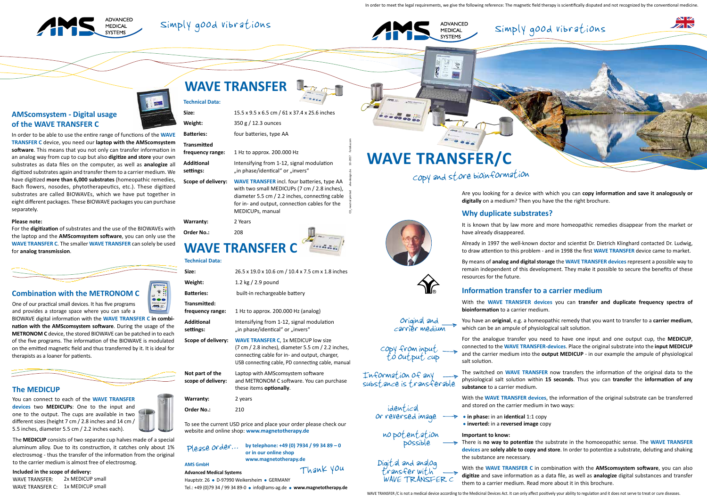### Simply good vibrations



 $\sim$   $\sim$ 

 $\overline{\mathbb{Z}}$   $\overline{\mathbb{N}}$ 

Information of any

substance is transferable

Original and carrier medium

 $\begin{CD} \text{copy from input} \\ \text{to output cup} \end{CD}$ 

Are you looking for a device with which you can **copy information and save it analogously or digitally** on a medium? Then you have the the right brochure.

### **Why duplicate substrates?**

It is known that by law more and more homeopathic remedies disappear from the market or

have already disappeared.

Already in 1997 the well-known doctor and scientist Dr. Dietrich Klinghard contacted Dr. Ludwig, to draw attention to this problem - and in 1998 the first **WAVE TRANSFER** device came to market.

By means of **analog and digital storage** the **WAVE TRANSFER devices** represent a possible way to remain independent of this development. They make it possible to secure the benefits of these resources for the future.

**in phase:** in an **identical** 1:1 copy **inverted:** in a **reversed image** copy

### **Information transfer to a carrier medium**

With the **WAVE TRANSFER devices** you can **transfer and duplicate frequency spectra of bioinformation** to a carrier medium.

You have an **original**, e.g. a homeopathic remedy that you want to transfer to a **carrier medium**, which can be an ampule of physiological salt solution.

For the analogue transfer you need to have one input and one output cup, the **MEDICUP**, connected to the **WAVE TRANSFER-devices**. Place the original substrate into the **input MEDICUP**  and the carrier medium into the **output MEDICUP** - in our example the ampule of physiological salt solution.

four batteries, type AA with two small MEDICUPs (7 cm / 2.8 inches), diameter 5.5 cm / 2.2 inches, connecting cable for in- and output, connection cables for the MEDICUPs, manual

> The switched on **WAVE TRANSFER** now transfers the information of the original data to the physiological salt solution within **15 seconds**. Thus you can **transfer** the **information of any substance** to a carrier medium.

> With the **WAVE TRANSFER devices**, the information of the original substrate can be transferred and stored on the carrier medium in two ways:

#### **Important to know:**

There is **no way to potentize** the substrate in the homoeopathic sense. The **WAVE TRANSFER devices** are **solely able to copy and store**. In order to potentize a substrate, deluting and shaking

the substance are necessary.

With the **WAVE TRANSFER C** in combination with the **AMScomsystem software**, you can also **digitize** and save information as a data file, as well as **analogize** digital substances and transfer them to a carrier medium. Read more about it in this brochure.

WAVE TRANSFER /C is not a medical device according to the Medicinal Devices Act. It can only affect positively your ability to regulation and it does not serve to treat or cure diseases.



 $\bullet\bullet\circ$ **ANS** 

| Size:                                  | 15.5 x 9.5 x 6.5 cm / 61 x 37.4 x 25.6 inches                                 |
|----------------------------------------|-------------------------------------------------------------------------------|
| Weight:                                | $350 g / 12.3$ ounces                                                         |
| <b>Batteries:</b>                      | four batteries, type AA                                                       |
| <b>Transmitted</b><br>frequency range: | 1 Hz to approx. 200.000 Hz                                                    |
| Additional<br>settings:                | Intensifying from 1-12, signal modulation<br>"in phase/identical" or "invers" |
| Scope of delivery:                     | <b>WAVE TRANSFER incl. four batteries, type</b>                               |

| Warranty:  | 2 Years |
|------------|---------|
| Order No.: | 208     |

## Copy and store bioinformation

In order to meet the legal requirements, we give the following reference: The magnetic field therapy is scientifically disputed and not recognized by the conventional medicine.



### Simply good vibrations





CO2 neutral printed aha-design.de 10-2017 fotolia.com

### **Technical Data: WAVE TRANSFER**

In order to be able to use the entire range of functions of the **WAVE TRANSFER C** device, you need our **laptop with the AMScomsystem software**. This means that you not only can transfer information in an analog way from cup to cup but also **digitize and store** your own substrates as data files on the computer, as well as **analogize** all digitized substrates again and transfer them to a carrier medium. We have digitized **more than 6,000 substrates** (homeopathic remedies, Bach flowers, nosodes, phytotherapeutics, etc.). These digitized substrates are called BIOWAVEs, which we have put together in eight different packages. These BIOWAVE packages you can purchase separately.

#### **Please note:**

For the **digitization** of substrates and the use of the BIOWAVEs with the laptop and the **AMScomsystem software**, you can only use the **WAVE TRANSFER C**. The smaller **WAVE TRANSFER** can solely be used for **analog transmission**.



### **AMScomsystem - Digital usage of the WAVE TRANSFER C**

 Digital and analog transfer with

WAVE TRANSFER C

# **WAVE TRANSFER/C**

Š

 identical or reversed image

 no potentation possible

## **WAVE TRANSFER C**

#### **Technical Data:**

| Size:                                                                                                                | 26.5 x 19.0 x 10.6 cm / 10.4 x 7.5 cm x 1.8 inches                                                                                                                                                      |  |  |  |
|----------------------------------------------------------------------------------------------------------------------|---------------------------------------------------------------------------------------------------------------------------------------------------------------------------------------------------------|--|--|--|
| Weight:                                                                                                              | 1.2 kg $/$ 2.9 pound                                                                                                                                                                                    |  |  |  |
| <b>Batteries:</b>                                                                                                    | built-in rechargeable battery                                                                                                                                                                           |  |  |  |
| Transmitted:<br>frequency range:                                                                                     | 1 Hz to approx. 200.000 Hz (analog)                                                                                                                                                                     |  |  |  |
| <b>Additional</b><br>settings:                                                                                       | Intensifying from 1-12, signal modulation<br>"in phase/identical" or "invers"                                                                                                                           |  |  |  |
| Scope of delivery:                                                                                                   | <b>WAVE TRANSFER C, 1x MEDICUP low size</b><br>(7 cm / 2.8 inches), diameter 5.5 cm / 2.2 inches,<br>connecting cable for in- and output, charger,<br>USB connecting cable, PD connecting cable, manual |  |  |  |
| Not part of the<br>scope of delivery:                                                                                | Laptop with AMScomsystem software<br>and METRONOM C software. You can purchase<br>these items optionally.                                                                                               |  |  |  |
| <b>Warranty:</b>                                                                                                     | 2 years                                                                                                                                                                                                 |  |  |  |
| Order No.:                                                                                                           | 210                                                                                                                                                                                                     |  |  |  |
| To see the current USD price and place your order please check our<br>website and online shop: www.magnetatherany.de |                                                                                                                                                                                                         |  |  |  |

website and online shop: **www.magnetotherapy.de**

#### **AMS GmbH**

**Advanced Medical Systems**

| Please order | by telephone: +49 (0) 7934 / 99 34 89 - 0 |
|--------------|-------------------------------------------|
|              | or in our online shop                     |
|              | www.magnetotherapy.de                     |

Thank you

Hauptstr. 26 · D-97990 Weikersheim · GERMANY

Tel.: +49 (0)79 34 / 99 34 89-0 · info@ams-ag.de · www.magnetotherapy.de

BIOWAVE digital information with the **WAVE TRANSFER C in combination with the AMScomsystem software**. During the usage of the **METRONOM C** device, the stored BIOWAVE can be patched in to each of the five programs. The information of the BIOWAVE is modulated on the emitted magnetic field and thus transferred by it. It is ideal for therapists as a loaner for patients.

**Combination with the METRONOM C**

### **The MEDICUP**

You can connect to each of the **WAVE TRANSFER devices** two **MEDICUPs**: One to the input and one to the output. The cups are available in two different sizes (height 7 cm / 2.8 inches and 14 cm / 5.5 inches, diameter 5.5 cm / 2.2 inches each).

The **MEDICUP** consists of two separate cup halves made of a special aluminum alloy. Due to its construction, it catches only about 1% electrosmog - thus the transfer of the information from the original to the carrier medium is almost free of electrosmog.

### **Included in the scope of delivery:**

WAVE TRANSFER: 2x MEDICUP small WAVE TRANSFER C: 1x MEDICUP small

One of our practical small devices. It has five programs and provides a storage space where you can safe a